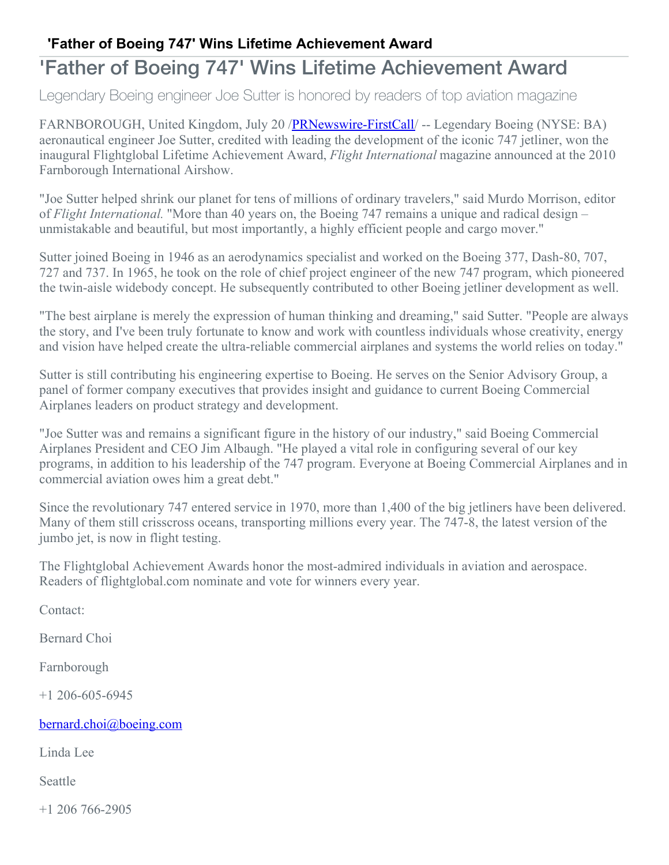## **'Father of Boeing 747' Wins Lifetime Achievement Award**

## 'Father of Boeing 747' Wins Lifetime Achievement Award

Legendary Boeing engineer Joe Sutter is honored by readers of top aviation magazine

FARNBOROUGH, United Kingdom, July 20 [/PRNewswire-FirstCall](http://www.prnewswire.com/)/ -- Legendary Boeing (NYSE: BA) aeronautical engineer Joe Sutter, credited with leading the development of the iconic 747 jetliner, won the inaugural Flightglobal Lifetime Achievement Award, *Flight International* magazine announced at the 2010 Farnborough International Airshow.

"Joe Sutter helped shrink our planet for tens of millions of ordinary travelers," said Murdo Morrison, editor of *Flight International.* "More than 40 years on, the Boeing 747 remains a unique and radical design – unmistakable and beautiful, but most importantly, a highly efficient people and cargo mover."

Sutter joined Boeing in 1946 as an aerodynamics specialist and worked on the Boeing 377, Dash-80, 707, 727 and 737. In 1965, he took on the role of chief project engineer of the new 747 program, which pioneered the twin-aisle widebody concept. He subsequently contributed to other Boeing jetliner development as well.

"The best airplane is merely the expression of human thinking and dreaming," said Sutter. "People are always the story, and I've been truly fortunate to know and work with countless individuals whose creativity, energy and vision have helped create the ultra-reliable commercial airplanes and systems the world relies on today."

Sutter is still contributing his engineering expertise to Boeing. He serves on the Senior Advisory Group, a panel of former company executives that provides insight and guidance to current Boeing Commercial Airplanes leaders on product strategy and development.

"Joe Sutter was and remains a significant figure in the history of our industry," said Boeing Commercial Airplanes President and CEO Jim Albaugh. "He played a vital role in configuring several of our key programs, in addition to his leadership of the 747 program. Everyone at Boeing Commercial Airplanes and in commercial aviation owes him a great debt."

Since the revolutionary 747 entered service in 1970, more than 1,400 of the big jetliners have been delivered. Many of them still crisscross oceans, transporting millions every year. The 747-8, the latest version of the jumbo jet, is now in flight testing.

The Flightglobal Achievement Awards honor the most-admired individuals in aviation and aerospace. Readers of flightglobal.com nominate and vote for winners every year.

Contact:

Bernard Choi

Farnborough

+1 206-605-6945

[bernard.choi@boeing.com](mailto:bernard.choi@boeing.com)

Linda Lee

Seattle

+1 206 766-2905